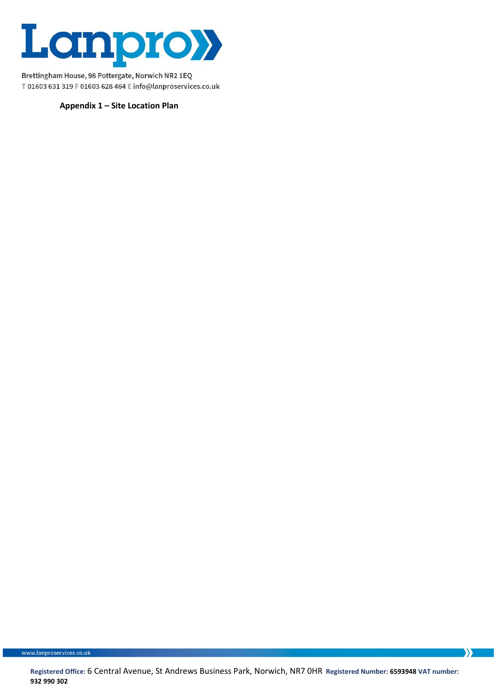

**Appendix 1 – Site Location Plan**

www.lanproservices.co.uk

 $\sum$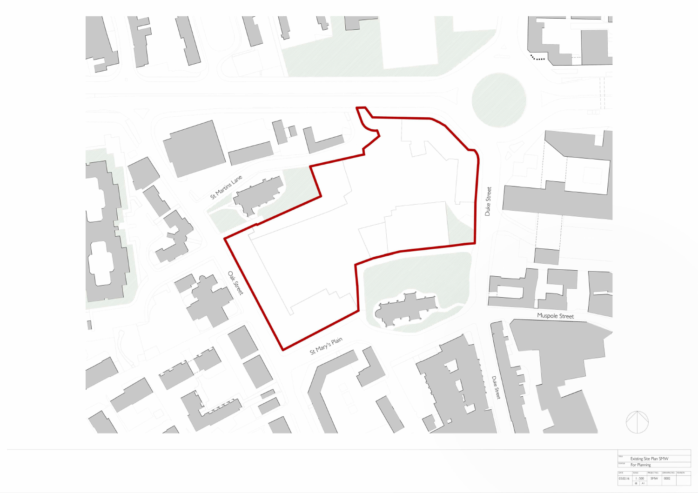



| TITLE         |                                  |    | Existing Site Plan SMW |             |                 |
|---------------|----------------------------------|----|------------------------|-------------|-----------------|
| <b>STATUS</b> | For Planning                     |    |                        |             |                 |
| DATE          | <b>SCALE</b>                     |    | PROJECT NO.            | DRAWING NO. | <b>REVISION</b> |
| 03.02.16      | 1:500                            |    | SMW                    | 0002        |                 |
|               | $^{\scriptsize \textregistered}$ | ΑI |                        |             |                 |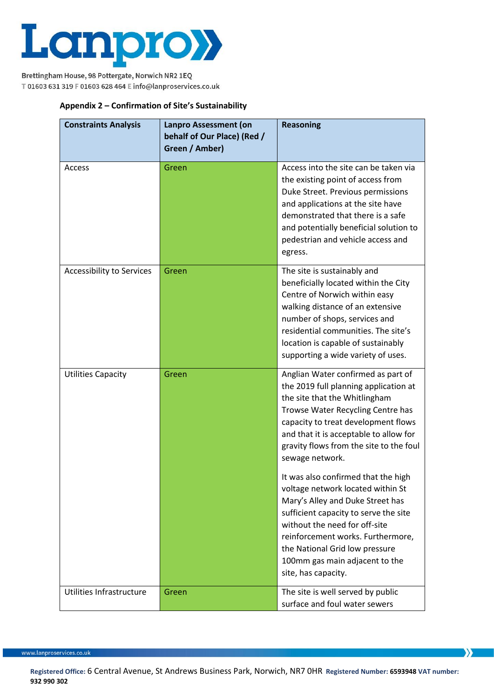

## **Appendix 2 – Confirmation of Site's Sustainability**

| <b>Constraints Analysis</b>      | Lanpro Assessment (on<br>behalf of Our Place) (Red /<br>Green / Amber) | <b>Reasoning</b>                                                                                                                                                                                                                                                                                                       |
|----------------------------------|------------------------------------------------------------------------|------------------------------------------------------------------------------------------------------------------------------------------------------------------------------------------------------------------------------------------------------------------------------------------------------------------------|
| Access                           | Green                                                                  | Access into the site can be taken via<br>the existing point of access from<br>Duke Street. Previous permissions<br>and applications at the site have<br>demonstrated that there is a safe<br>and potentially beneficial solution to<br>pedestrian and vehicle access and<br>egress.                                    |
| <b>Accessibility to Services</b> | Green                                                                  | The site is sustainably and<br>beneficially located within the City<br>Centre of Norwich within easy<br>walking distance of an extensive<br>number of shops, services and<br>residential communities. The site's<br>location is capable of sustainably<br>supporting a wide variety of uses.                           |
| <b>Utilities Capacity</b>        | Green                                                                  | Anglian Water confirmed as part of<br>the 2019 full planning application at<br>the site that the Whitlingham<br>Trowse Water Recycling Centre has<br>capacity to treat development flows<br>and that it is acceptable to allow for<br>gravity flows from the site to the foul<br>sewage network.                       |
|                                  |                                                                        | It was also confirmed that the high<br>voltage network located within St<br>Mary's Alley and Duke Street has<br>sufficient capacity to serve the site<br>without the need for off-site<br>reinforcement works. Furthermore,<br>the National Grid low pressure<br>100mm gas main adjacent to the<br>site, has capacity. |
| Utilities Infrastructure         | Green                                                                  | The site is well served by public<br>surface and foul water sewers                                                                                                                                                                                                                                                     |

www.lanproservices.co.uk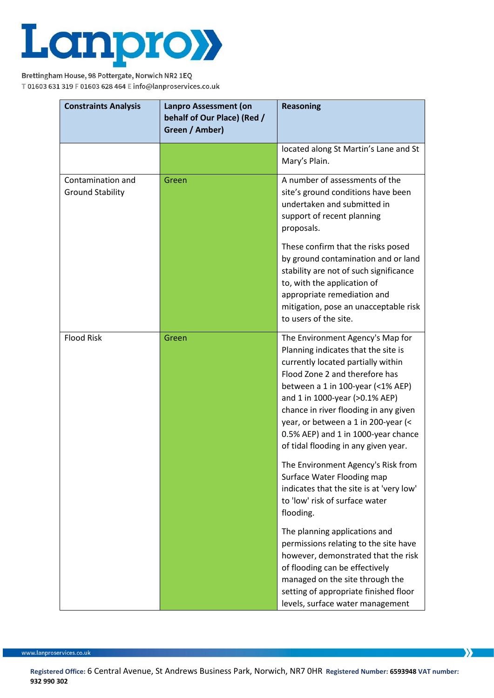

| <b>Constraints Analysis</b>                  | Lanpro Assessment (on<br>behalf of Our Place) (Red /<br>Green / Amber) | <b>Reasoning</b>                                                                                                                                                                                                                                                                                                                                                                      |
|----------------------------------------------|------------------------------------------------------------------------|---------------------------------------------------------------------------------------------------------------------------------------------------------------------------------------------------------------------------------------------------------------------------------------------------------------------------------------------------------------------------------------|
|                                              |                                                                        | located along St Martin's Lane and St<br>Mary's Plain.                                                                                                                                                                                                                                                                                                                                |
| Contamination and<br><b>Ground Stability</b> | Green                                                                  | A number of assessments of the<br>site's ground conditions have been<br>undertaken and submitted in<br>support of recent planning<br>proposals.                                                                                                                                                                                                                                       |
|                                              |                                                                        | These confirm that the risks posed<br>by ground contamination and or land<br>stability are not of such significance<br>to, with the application of<br>appropriate remediation and<br>mitigation, pose an unacceptable risk<br>to users of the site.                                                                                                                                   |
| <b>Flood Risk</b>                            | Green                                                                  | The Environment Agency's Map for<br>Planning indicates that the site is<br>currently located partially within<br>Flood Zone 2 and therefore has<br>between a 1 in 100-year (<1% AEP)<br>and 1 in 1000-year (>0.1% AEP)<br>chance in river flooding in any given<br>year, or between a 1 in 200-year (<<br>0.5% AEP) and 1 in 1000-year chance<br>of tidal flooding in any given year. |
|                                              |                                                                        | The Environment Agency's Risk from<br>Surface Water Flooding map<br>indicates that the site is at 'very low'<br>to 'low' risk of surface water<br>flooding.                                                                                                                                                                                                                           |
|                                              |                                                                        | The planning applications and<br>permissions relating to the site have<br>however, demonstrated that the risk<br>of flooding can be effectively<br>managed on the site through the<br>setting of appropriate finished floor<br>levels, surface water management                                                                                                                       |

www.lanproservices.co.uk

**Registered Office:** 6 Central Avenue, St Andrews Business Park, Norwich, NR7 0HR **Registered Number: 6593948 VAT number: 932 990 302**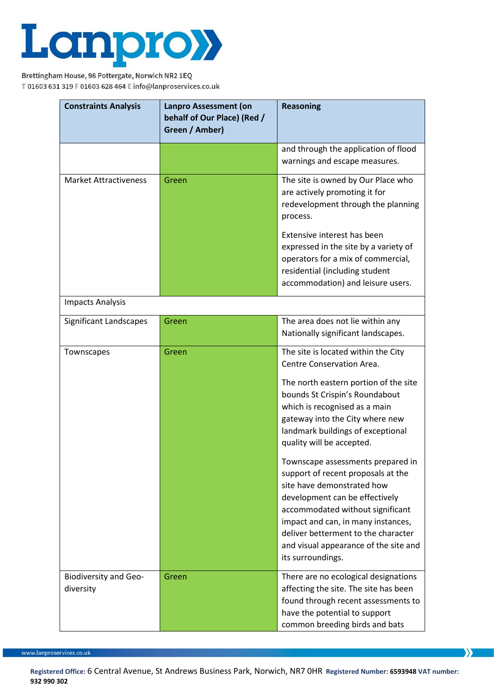

| <b>Constraints Analysis</b>               | Lanpro Assessment (on<br>behalf of Our Place) (Red /<br>Green / Amber) | <b>Reasoning</b>                                                                                                                                                                                                                                                                                                                                                                                                                                                                                                                                                                                            |
|-------------------------------------------|------------------------------------------------------------------------|-------------------------------------------------------------------------------------------------------------------------------------------------------------------------------------------------------------------------------------------------------------------------------------------------------------------------------------------------------------------------------------------------------------------------------------------------------------------------------------------------------------------------------------------------------------------------------------------------------------|
|                                           |                                                                        | and through the application of flood<br>warnings and escape measures.                                                                                                                                                                                                                                                                                                                                                                                                                                                                                                                                       |
| <b>Market Attractiveness</b>              | Green                                                                  | The site is owned by Our Place who<br>are actively promoting it for<br>redevelopment through the planning<br>process.<br>Extensive interest has been<br>expressed in the site by a variety of<br>operators for a mix of commercial,<br>residential (including student<br>accommodation) and leisure users.                                                                                                                                                                                                                                                                                                  |
| <b>Impacts Analysis</b>                   |                                                                        |                                                                                                                                                                                                                                                                                                                                                                                                                                                                                                                                                                                                             |
| Significant Landscapes                    | Green                                                                  | The area does not lie within any<br>Nationally significant landscapes.                                                                                                                                                                                                                                                                                                                                                                                                                                                                                                                                      |
| Townscapes                                | Green                                                                  | The site is located within the City<br>Centre Conservation Area.<br>The north eastern portion of the site<br>bounds St Crispin's Roundabout<br>which is recognised as a main<br>gateway into the City where new<br>landmark buildings of exceptional<br>quality will be accepted.<br>Townscape assessments prepared in<br>support of recent proposals at the<br>site have demonstrated how<br>development can be effectively<br>accommodated without significant<br>impact and can, in many instances,<br>deliver betterment to the character<br>and visual appearance of the site and<br>its surroundings. |
| <b>Biodiversity and Geo-</b><br>diversity | Green                                                                  | There are no ecological designations<br>affecting the site. The site has been<br>found through recent assessments to<br>have the potential to support<br>common breeding birds and bats                                                                                                                                                                                                                                                                                                                                                                                                                     |

www.lanproservices.co.uk

**Registered Office:** 6 Central Avenue, St Andrews Business Park, Norwich, NR7 0HR **Registered Number: 6593948 VAT number: 932 990 302**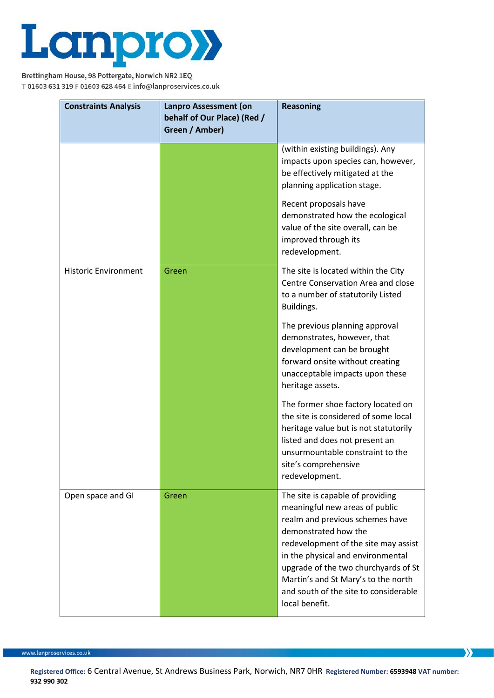

| <b>Constraints Analysis</b> | Lanpro Assessment (on<br>behalf of Our Place) (Red /<br>Green / Amber) | <b>Reasoning</b>                                                                                                                                                                                                                                                                                                                                     |
|-----------------------------|------------------------------------------------------------------------|------------------------------------------------------------------------------------------------------------------------------------------------------------------------------------------------------------------------------------------------------------------------------------------------------------------------------------------------------|
|                             |                                                                        | (within existing buildings). Any<br>impacts upon species can, however,<br>be effectively mitigated at the<br>planning application stage.                                                                                                                                                                                                             |
|                             |                                                                        | Recent proposals have<br>demonstrated how the ecological<br>value of the site overall, can be<br>improved through its<br>redevelopment.                                                                                                                                                                                                              |
| <b>Historic Environment</b> | Green                                                                  | The site is located within the City<br>Centre Conservation Area and close<br>to a number of statutorily Listed<br>Buildings.                                                                                                                                                                                                                         |
|                             |                                                                        | The previous planning approval<br>demonstrates, however, that<br>development can be brought<br>forward onsite without creating<br>unacceptable impacts upon these<br>heritage assets.                                                                                                                                                                |
|                             |                                                                        | The former shoe factory located on<br>the site is considered of some local<br>heritage value but is not statutorily<br>listed and does not present an<br>unsurmountable constraint to the<br>site's comprehensive<br>redevelopment.                                                                                                                  |
| Open space and GI           | Green                                                                  | The site is capable of providing<br>meaningful new areas of public<br>realm and previous schemes have<br>demonstrated how the<br>redevelopment of the site may assist<br>in the physical and environmental<br>upgrade of the two churchyards of St<br>Martin's and St Mary's to the north<br>and south of the site to considerable<br>local benefit. |